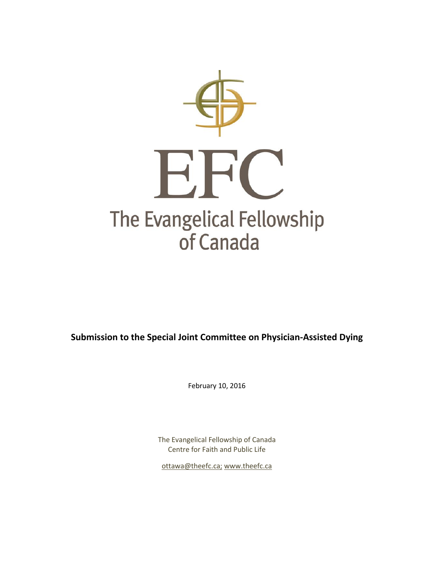

**Submission to the Special Joint Committee on Physician-Assisted Dying**

February 10, 2016

The Evangelical Fellowship of Canada Centre for Faith and Public Life

[ottawa@theefc.ca;](mailto:ottawa@theefc.ca) [www.theefc.ca](http://www.theefc.ca/)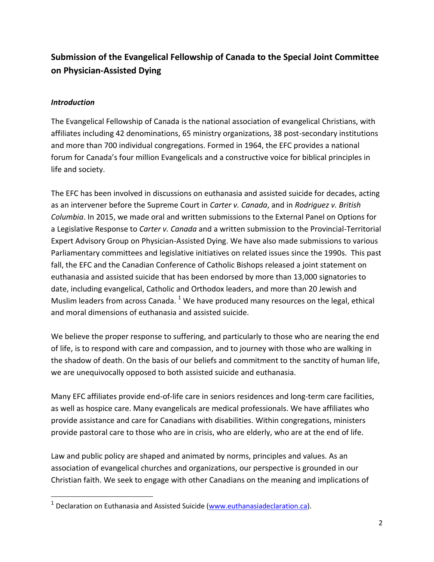# **Submission of the Evangelical Fellowship of Canada to the Special Joint Committee on Physician-Assisted Dying**

#### *Introduction*

 $\overline{a}$ 

The Evangelical Fellowship of Canada is the national association of evangelical Christians, with affiliates including 42 denominations, 65 ministry organizations, 38 post-secondary institutions and more than 700 individual congregations. Formed in 1964, the EFC provides a national forum for Canada's four million Evangelicals and a constructive voice for biblical principles in life and society.

The EFC has been involved in discussions on euthanasia and assisted suicide for decades, acting as an intervener before the Supreme Court in *Carter v. Canada*, and in *Rodriguez v. British Columbia*. In 2015, we made oral and written submissions to the External Panel on Options for a Legislative Response to *Carter v. Canada* and a written submission to the Provincial-Territorial Expert Advisory Group on Physician-Assisted Dying. We have also made submissions to various Parliamentary committees and legislative initiatives on related issues since the 1990s. This past fall, the EFC and the Canadian Conference of Catholic Bishops released a joint statement on euthanasia and assisted suicide that has been endorsed by more than 13,000 signatories to date, including evangelical, Catholic and Orthodox leaders, and more than 20 Jewish and Muslim leaders from across Canada. <sup>1</sup> We have produced many resources on the legal, ethical and moral dimensions of euthanasia and assisted suicide.

We believe the proper response to suffering, and particularly to those who are nearing the end of life, is to respond with care and compassion, and to journey with those who are walking in the shadow of death. On the basis of our beliefs and commitment to the sanctity of human life, we are unequivocally opposed to both assisted suicide and euthanasia.

Many EFC affiliates provide end-of-life care in seniors residences and long-term care facilities, as well as hospice care. Many evangelicals are medical professionals. We have affiliates who provide assistance and care for Canadians with disabilities. Within congregations, ministers provide pastoral care to those who are in crisis, who are elderly, who are at the end of life.

Law and public policy are shaped and animated by norms, principles and values. As an association of evangelical churches and organizations, our perspective is grounded in our Christian faith. We seek to engage with other Canadians on the meaning and implications of

<sup>&</sup>lt;sup>1</sup> Declaration on Euthanasia and Assisted Suicide [\(www.euthanasiadeclaration.ca\)](http://www.euthanasiadeclaration.ca/).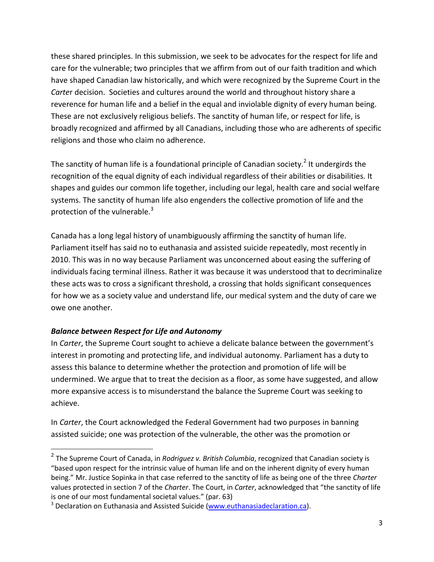these shared principles. In this submission, we seek to be advocates for the respect for life and care for the vulnerable; two principles that we affirm from out of our faith tradition and which have shaped Canadian law historically, and which were recognized by the Supreme Court in the *Carte*r decision. Societies and cultures around the world and throughout history share a reverence for human life and a belief in the equal and inviolable dignity of every human being. These are not exclusively religious beliefs. The sanctity of human life, or respect for life, is broadly recognized and affirmed by all Canadians, including those who are adherents of specific religions and those who claim no adherence.

The sanctity of human life is a foundational principle of Canadian society.<sup>2</sup> It undergirds the recognition of the equal dignity of each individual regardless of their abilities or disabilities. It shapes and guides our common life together, including our legal, health care and social welfare systems. The sanctity of human life also engenders the collective promotion of life and the protection of the vulnerable. $3$ 

Canada has a long legal history of unambiguously affirming the sanctity of human life. Parliament itself has said no to euthanasia and assisted suicide repeatedly, most recently in 2010. This was in no way because Parliament was unconcerned about easing the suffering of individuals facing terminal illness. Rather it was because it was understood that to decriminalize these acts was to cross a significant threshold, a crossing that holds significant consequences for how we as a society value and understand life, our medical system and the duty of care we owe one another.

## *Balance between Respect for Life and Autonomy*

l

In *Carter*, the Supreme Court sought to achieve a delicate balance between the government's interest in promoting and protecting life, and individual autonomy. Parliament has a duty to assess this balance to determine whether the protection and promotion of life will be undermined. We argue that to treat the decision as a floor, as some have suggested, and allow more expansive access is to misunderstand the balance the Supreme Court was seeking to achieve.

In *Carter*, the Court acknowledged the Federal Government had two purposes in banning assisted suicide; one was protection of the vulnerable, the other was the promotion or

<sup>2</sup> The Supreme Court of Canada, in *Rodriguez v. British Columbia*, recognized that Canadian society is "based upon respect for the intrinsic value of human life and on the inherent dignity of every human being." Mr. Justice Sopinka in that case referred to the sanctity of life as being one of the three *Charter* values protected in section 7 of the *Charter*. The Court, in *Carter*, acknowledged that "the sanctity of life is one of our most fundamental societal values." (par. 63)

<sup>&</sup>lt;sup>3</sup> Declaration on Euthanasia and Assisted Suicide [\(www.euthanasiadeclaration.ca\)](http://www.euthanasiadeclaration.ca/).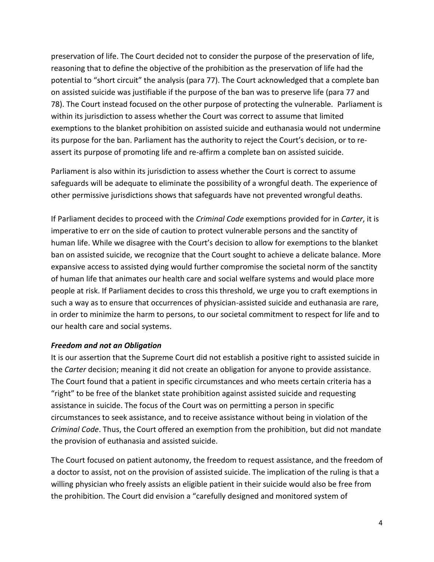preservation of life. The Court decided not to consider the purpose of the preservation of life, reasoning that to define the objective of the prohibition as the preservation of life had the potential to "short circuit" the analysis (para 77). The Court acknowledged that a complete ban on assisted suicide was justifiable if the purpose of the ban was to preserve life (para 77 and 78). The Court instead focused on the other purpose of protecting the vulnerable. Parliament is within its jurisdiction to assess whether the Court was correct to assume that limited exemptions to the blanket prohibition on assisted suicide and euthanasia would not undermine its purpose for the ban. Parliament has the authority to reject the Court's decision, or to reassert its purpose of promoting life and re-affirm a complete ban on assisted suicide.

Parliament is also within its jurisdiction to assess whether the Court is correct to assume safeguards will be adequate to eliminate the possibility of a wrongful death. The experience of other permissive jurisdictions shows that safeguards have not prevented wrongful deaths.

If Parliament decides to proceed with the *Criminal Code* exemptions provided for in *Carter*, it is imperative to err on the side of caution to protect vulnerable persons and the sanctity of human life. While we disagree with the Court's decision to allow for exemptions to the blanket ban on assisted suicide, we recognize that the Court sought to achieve a delicate balance. More expansive access to assisted dying would further compromise the societal norm of the sanctity of human life that animates our health care and social welfare systems and would place more people at risk. If Parliament decides to cross this threshold, we urge you to craft exemptions in such a way as to ensure that occurrences of physician-assisted suicide and euthanasia are rare, in order to minimize the harm to persons, to our societal commitment to respect for life and to our health care and social systems.

#### *Freedom and not an Obligation*

It is our assertion that the Supreme Court did not establish a positive right to assisted suicide in the *Carter* decision; meaning it did not create an obligation for anyone to provide assistance. The Court found that a patient in specific circumstances and who meets certain criteria has a "right" to be free of the blanket state prohibition against assisted suicide and requesting assistance in suicide. The focus of the Court was on permitting a person in specific circumstances to seek assistance, and to receive assistance without being in violation of the *Criminal Code*. Thus, the Court offered an exemption from the prohibition, but did not mandate the provision of euthanasia and assisted suicide.

The Court focused on patient autonomy, the freedom to request assistance, and the freedom of a doctor to assist, not on the provision of assisted suicide. The implication of the ruling is that a willing physician who freely assists an eligible patient in their suicide would also be free from the prohibition. The Court did envision a "carefully designed and monitored system of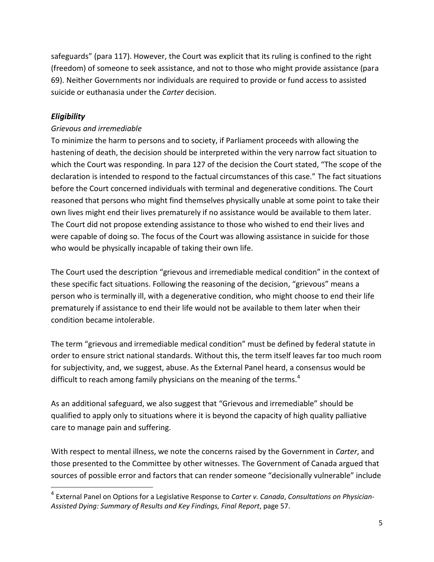safeguards" (para 117). However, the Court was explicit that its ruling is confined to the right (freedom) of someone to seek assistance, and not to those who might provide assistance (para 69). Neither Governments nor individuals are required to provide or fund access to assisted suicide or euthanasia under the *Carter* decision.

#### *Eligibility*

l

#### *Grievous and irremediable*

To minimize the harm to persons and to society, if Parliament proceeds with allowing the hastening of death, the decision should be interpreted within the very narrow fact situation to which the Court was responding. In para 127 of the decision the Court stated, "The scope of the declaration is intended to respond to the factual circumstances of this case." The fact situations before the Court concerned individuals with terminal and degenerative conditions. The Court reasoned that persons who might find themselves physically unable at some point to take their own lives might end their lives prematurely if no assistance would be available to them later. The Court did not propose extending assistance to those who wished to end their lives and were capable of doing so. The focus of the Court was allowing assistance in suicide for those who would be physically incapable of taking their own life.

The Court used the description "grievous and irremediable medical condition" in the context of these specific fact situations. Following the reasoning of the decision, "grievous" means a person who is terminally ill, with a degenerative condition, who might choose to end their life prematurely if assistance to end their life would not be available to them later when their condition became intolerable.

The term "grievous and irremediable medical condition" must be defined by federal statute in order to ensure strict national standards. Without this, the term itself leaves far too much room for subjectivity, and, we suggest, abuse. As the External Panel heard, a consensus would be difficult to reach among family physicians on the meaning of the terms. $4$ 

As an additional safeguard, we also suggest that "Grievous and irremediable" should be qualified to apply only to situations where it is beyond the capacity of high quality palliative care to manage pain and suffering.

With respect to mental illness, we note the concerns raised by the Government in *Carter*, and those presented to the Committee by other witnesses. The Government of Canada argued that sources of possible error and factors that can render someone "decisionally vulnerable" include

<sup>4</sup> External Panel on Options for a Legislative Response to *Carter v. Canada*, *Consultations on Physician-Assisted Dying: Summary of Results and Key Findings, Final Report*, page 57.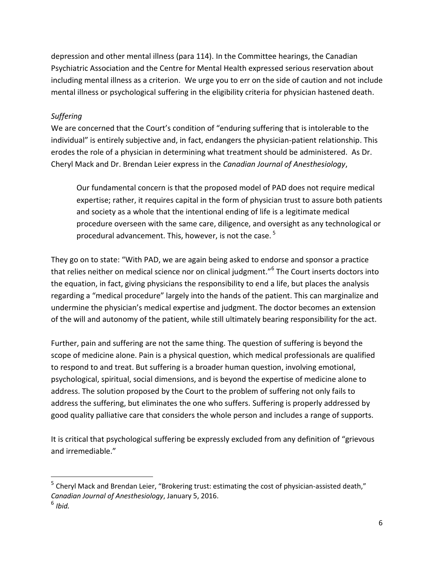depression and other mental illness (para 114). In the Committee hearings, the Canadian Psychiatric Association and the Centre for Mental Health expressed serious reservation about including mental illness as a criterion. We urge you to err on the side of caution and not include mental illness or psychological suffering in the eligibility criteria for physician hastened death.

### *Suffering*

l

We are concerned that the Court's condition of "enduring suffering that is intolerable to the individual" is entirely subjective and, in fact, endangers the physician-patient relationship. This erodes the role of a physician in determining what treatment should be administered. As Dr. Cheryl Mack and Dr. Brendan Leier express in the *Canadian Journal of Anesthesiology*,

Our fundamental concern is that the proposed model of PAD does not require medical expertise; rather, it requires capital in the form of physician trust to assure both patients and society as a whole that the intentional ending of life is a legitimate medical procedure overseen with the same care, diligence, and oversight as any technological or procedural advancement. This, however, is not the case.<sup>5</sup>

They go on to state: "With PAD, we are again being asked to endorse and sponsor a practice that relies neither on medical science nor on clinical judgment."<sup>6</sup> The Court inserts doctors into the equation, in fact, giving physicians the responsibility to end a life, but places the analysis regarding a "medical procedure" largely into the hands of the patient. This can marginalize and undermine the physician's medical expertise and judgment. The doctor becomes an extension of the will and autonomy of the patient, while still ultimately bearing responsibility for the act.

Further, pain and suffering are not the same thing. The question of suffering is beyond the scope of medicine alone. Pain is a physical question, which medical professionals are qualified to respond to and treat. But suffering is a broader human question, involving emotional, psychological, spiritual, social dimensions, and is beyond the expertise of medicine alone to address. The solution proposed by the Court to the problem of suffering not only fails to address the suffering, but eliminates the one who suffers. Suffering is properly addressed by good quality palliative care that considers the whole person and includes a range of supports.

It is critical that psychological suffering be expressly excluded from any definition of "grievous and irremediable."

<sup>&</sup>lt;sup>5</sup> Cheryl Mack and Brendan Leier, "Brokering trust: estimating the cost of physician-assisted death," *Canadian Journal of Anesthesiology*, January 5, 2016. 6 *Ibid.*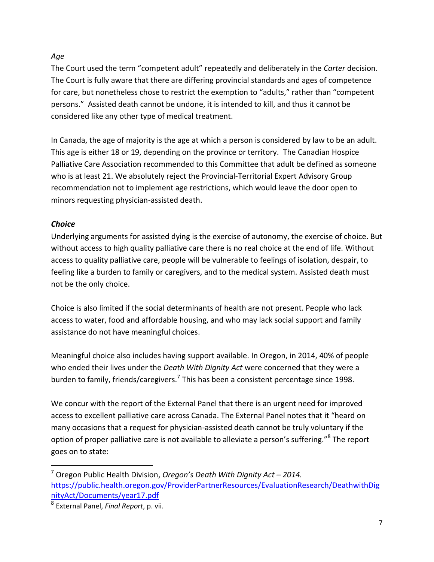### *Age*

The Court used the term "competent adult" repeatedly and deliberately in the *Carter* decision. The Court is fully aware that there are differing provincial standards and ages of competence for care, but nonetheless chose to restrict the exemption to "adults," rather than "competent persons." Assisted death cannot be undone, it is intended to kill, and thus it cannot be considered like any other type of medical treatment.

In Canada, the age of majority is the age at which a person is considered by law to be an adult. This age is either 18 or 19, depending on the province or territory. The Canadian Hospice Palliative Care Association recommended to this Committee that adult be defined as someone who is at least 21. We absolutely reject the Provincial-Territorial Expert Advisory Group recommendation not to implement age restrictions, which would leave the door open to minors requesting physician-assisted death.

## *Choice*

 $\overline{a}$ 

Underlying arguments for assisted dying is the exercise of autonomy, the exercise of choice. But without access to high quality palliative care there is no real choice at the end of life. Without access to quality palliative care, people will be vulnerable to feelings of isolation, despair, to feeling like a burden to family or caregivers, and to the medical system. Assisted death must not be the only choice.

Choice is also limited if the social determinants of health are not present. People who lack access to water, food and affordable housing, and who may lack social support and family assistance do not have meaningful choices.

Meaningful choice also includes having support available. In Oregon, in 2014, 40% of people who ended their lives under the *Death With Dignity Act* were concerned that they were a burden to family, friends/caregivers.<sup>7</sup> This has been a consistent percentage since 1998.

We concur with the report of the External Panel that there is an urgent need for improved access to excellent palliative care across Canada. The External Panel notes that it "heard on many occasions that a request for physician-assisted death cannot be truly voluntary if the option of proper palliative care is not available to alleviate a person's suffering."<sup>8</sup> The report goes on to state:

<sup>7</sup> Oregon Public Health Division, *Oregon's Death With Dignity Act – 2014.* [https://public.health.oregon.gov/ProviderPartnerResources/EvaluationResearch/DeathwithDig](https://public.health.oregon.gov/ProviderPartnerResources/EvaluationResearch/DeathwithDignityAct/Documents/year17.pdf) [nityAct/Documents/year17.pdf](https://public.health.oregon.gov/ProviderPartnerResources/EvaluationResearch/DeathwithDignityAct/Documents/year17.pdf)

<sup>8</sup> External Panel, *Final Report*, p. vii.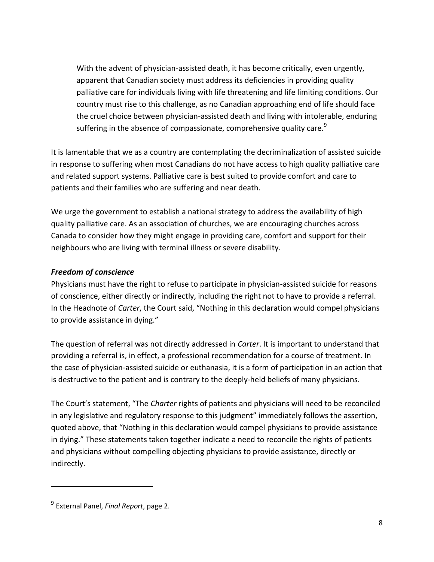With the advent of physician-assisted death, it has become critically, even urgently, apparent that Canadian society must address its deficiencies in providing quality palliative care for individuals living with life threatening and life limiting conditions. Our country must rise to this challenge, as no Canadian approaching end of life should face the cruel choice between physician-assisted death and living with intolerable, enduring suffering in the absence of compassionate, comprehensive quality care.<sup>9</sup>

It is lamentable that we as a country are contemplating the decriminalization of assisted suicide in response to suffering when most Canadians do not have access to high quality palliative care and related support systems. Palliative care is best suited to provide comfort and care to patients and their families who are suffering and near death.

We urge the government to establish a national strategy to address the availability of high quality palliative care. As an association of churches, we are encouraging churches across Canada to consider how they might engage in providing care, comfort and support for their neighbours who are living with terminal illness or severe disability.

#### *Freedom of conscience*

Physicians must have the right to refuse to participate in physician-assisted suicide for reasons of conscience, either directly or indirectly, including the right not to have to provide a referral. In the Headnote of *Carter*, the Court said, "Nothing in this declaration would compel physicians to provide assistance in dying."

The question of referral was not directly addressed in *Carter*. It is important to understand that providing a referral is, in effect, a professional recommendation for a course of treatment. In the case of physician-assisted suicide or euthanasia, it is a form of participation in an action that is destructive to the patient and is contrary to the deeply-held beliefs of many physicians.

The Court's statement, "The *Charter* rights of patients and physicians will need to be reconciled in any legislative and regulatory response to this judgment" immediately follows the assertion, quoted above, that "Nothing in this declaration would compel physicians to provide assistance in dying." These statements taken together indicate a need to reconcile the rights of patients and physicians without compelling objecting physicians to provide assistance, directly or indirectly.

 $\overline{a}$ 

<sup>9</sup> External Panel, *Final Report*, page 2.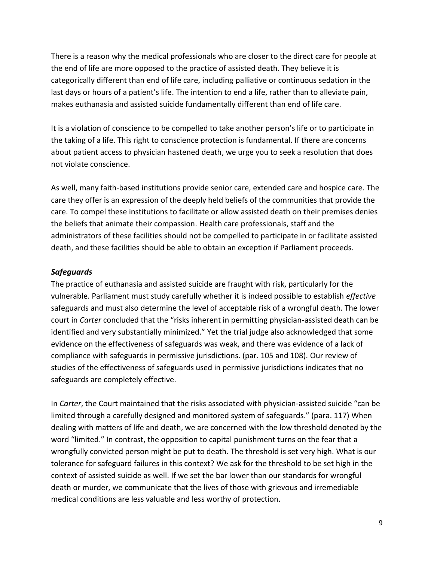There is a reason why the medical professionals who are closer to the direct care for people at the end of life are more opposed to the practice of assisted death. They believe it is categorically different than end of life care, including palliative or continuous sedation in the last days or hours of a patient's life. The intention to end a life, rather than to alleviate pain, makes euthanasia and assisted suicide fundamentally different than end of life care.

It is a violation of conscience to be compelled to take another person's life or to participate in the taking of a life. This right to conscience protection is fundamental. If there are concerns about patient access to physician hastened death, we urge you to seek a resolution that does not violate conscience.

As well, many faith-based institutions provide senior care, extended care and hospice care. The care they offer is an expression of the deeply held beliefs of the communities that provide the care. To compel these institutions to facilitate or allow assisted death on their premises denies the beliefs that animate their compassion. Health care professionals, staff and the administrators of these facilities should not be compelled to participate in or facilitate assisted death, and these facilities should be able to obtain an exception if Parliament proceeds.

#### *Safeguards*

The practice of euthanasia and assisted suicide are fraught with risk, particularly for the vulnerable. Parliament must study carefully whether it is indeed possible to establish *effective* safeguards and must also determine the level of acceptable risk of a wrongful death. The lower court in *Carter* concluded that the "risks inherent in permitting physician-assisted death can be identified and very substantially minimized." Yet the trial judge also acknowledged that some evidence on the effectiveness of safeguards was weak, and there was evidence of a lack of compliance with safeguards in permissive jurisdictions. (par. 105 and 108). Our review of studies of the effectiveness of safeguards used in permissive jurisdictions indicates that no safeguards are completely effective.

In *Carter*, the Court maintained that the risks associated with physician-assisted suicide "can be limited through a carefully designed and monitored system of safeguards." (para. 117) When dealing with matters of life and death, we are concerned with the low threshold denoted by the word "limited." In contrast, the opposition to capital punishment turns on the fear that a wrongfully convicted person might be put to death. The threshold is set very high. What is our tolerance for safeguard failures in this context? We ask for the threshold to be set high in the context of assisted suicide as well. If we set the bar lower than our standards for wrongful death or murder, we communicate that the lives of those with grievous and irremediable medical conditions are less valuable and less worthy of protection.